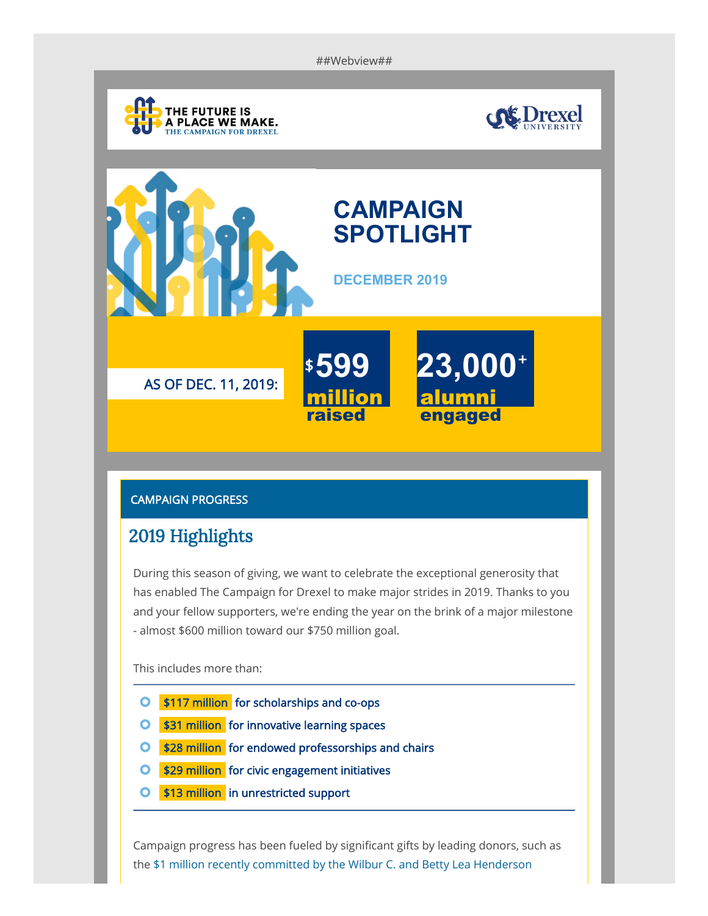##Webview##







## CAMPAIGN PROGRESS

## 2019 Highlights

During this season of giving, we want to celebrate the exceptional generosity that has enabled The Campaign for Drexel to make major strides in 2019. Thanks to you and your fellow supporters, we're ending the year on the brink of a major milestone - almost \$600 million toward our \$750 million goal.

This includes more than:

- **O** \$117 million for scholarships and co-ops
- **O** \$31 million for innovative learning spaces
- **\$28 million** for endowed professorships and chairs  $\circ$
- \$29 million for civic engagement initiatives O
- \$13 million in unrestricted support O

Campaign progress has been fueled by significant gifts by leading donors, such as [the \\$1 million recently committed by the Wilbur C. and Betty Lea Henderson](https://www.lebow.drexel.edu/news/1-million-gift-will-support-real-estate-management-students?utm_source=imodules&utm_medium=email&utm_campaign=campaign-newsletter&utm_content=textlink)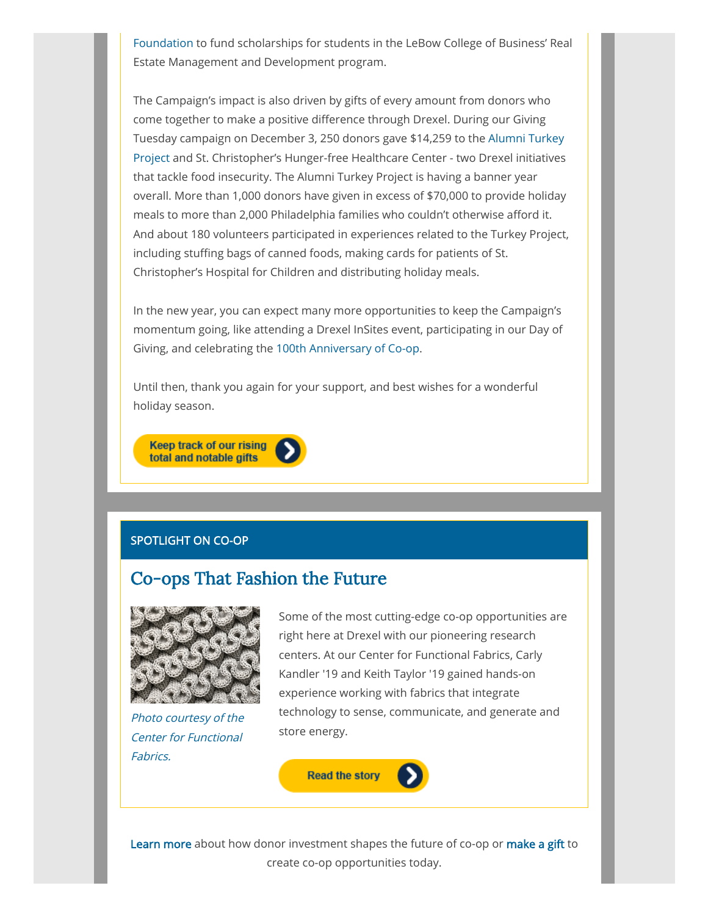[Foundation to fund scholarships for students in the LeBow College of Busine](https://www.lebow.drexel.edu/news/1-million-gift-will-support-real-estate-management-students?utm_source=imodules&utm_medium=email&utm_campaign=campaign-newsletter&utm_content=textlink)ss' Real Estate Management and Development program.

The Campaign's impact is also driven by gifts of every amount from donors who come together to make a positive difference through Drexel. During our Giving Tuesday campaign on December 3, 250 donors gave \$14,259 to the Alumni Turkey [Project and St. Christopher's Hunger-free Healthcare Center - two Drexel initiatives](https://drexel.edu/alumni/involved/turkeyproject/?utm_source=imodules&utm_medium=email&utm_campaign=campaign-newsletter&utm_content=textlink) that tackle food insecurity. The Alumni Turkey Project is having a banner year overall. More than 1,000 donors have given in excess of \$70,000 to provide holiday meals to more than 2,000 Philadelphia families who couldn't otherwise afford it. And about 180 volunteers participated in experiences related to the Turkey Project, including stuffing bags of canned foods, making cards for patients of St. Christopher's Hospital for Children and distributing holiday meals.

In the new year, you can expect many more opportunities to keep the Campaign's momentum going, like attending a Drexel InSites event, participating in our Day of Giving, and celebrating the [100th Anniversary of Co-op.](https://drexel.edu/co-op100/?utm_source=imodules&utm_medium=email&utm_campaign=campaign-newsletter&utm_content=textlink)

Until then, thank you again for your support, and best wishes for a wonderful holiday season.



## SPOTLIGHT ON CO-OP

## Co-ops That [Fashion the](https://giving.drexel.edu/stories/nicole_kalitsi/?utm_source=imodules&utm_medium=email&utm_campaign=campaign-newsletter&utm_content=textlink) Future



Photo courtesy of the Center for Functional Fabrics.

Some of the most cutting-edge co-op opportunities are right here at Drexel with our pioneering research centers. At our Center for Functional Fabrics, Carly Kandler '19 and Keith Taylor '19 gained hands-on experience working with fabrics that integrate technology to sense, communicate, and generate and store energy.



[Learn more](https://giving.drexel.edu/campaign/priorities/co-op/) about how donor investment shapes the future of co-op or [make a gift](https://secureia.drexel.edu/s/1683/form/16/form.aspx?sid=1683&gid=2&pgid=477&cid=1122&dids=338.340&appealcode=EMGEN20&sort=1&bledit=1) to create co-op opportunities today.